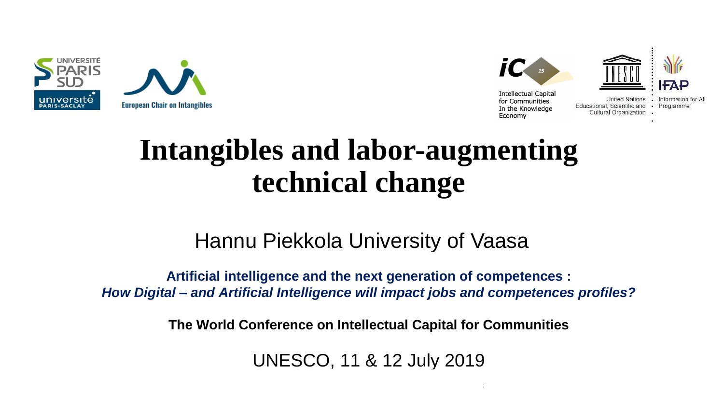





# **Intangibles and labor-augmenting technical change**

#### Hannu Piekkola University of Vaasa

**Artificial intelligence and the next generation of competences :** *How Digital – and Artificial Intelligence will impact jobs and competences profiles?*

**The World Conference on Intellectual Capital for Communities**

UNESCO, 11 & 12 July 2019

 $11.12 \pm 0.12$  July 2019 The World Conference on Intellectual Capital for Communities on Intellectual for Communities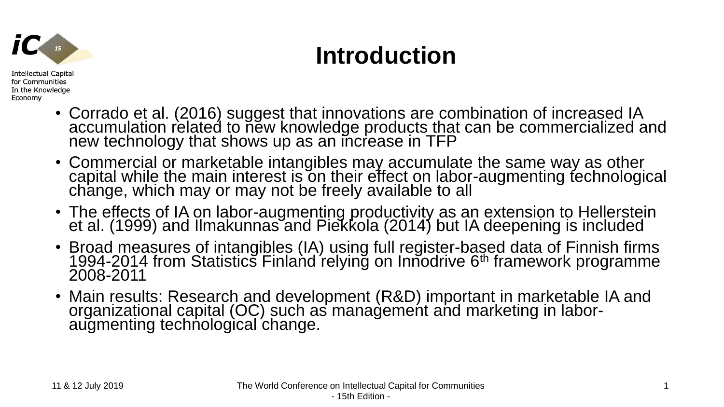

## **Introduction**

- Corrado et al. (2016) suggest that innovations are combination of increased IA accumulation related to new knowledge products that can be commercialized and new technology that shows up as an increase in TFP
- Commercial or marketable intangibles may accumulate the same way as other capital while the main interest is on their effect on labor-augmenting technological change, which may or may not be freely available to all
- The effects of IA on labor-augmenting productivity as an extension to Hellerstein et al. (1999) and Ilmakunnas and Piekkola (2014) but IA deepening is included
- Broad measures of intangibles (IA) using full register-based data of Finnish firms 1994-2014 from Statistics Finland relying on Innodrive 6th framework programme 2008-2011
- Main results: Research and development (R&D) important in marketable IA and organizational capital (OC) such as management and marketing in laboraugmenting technological change.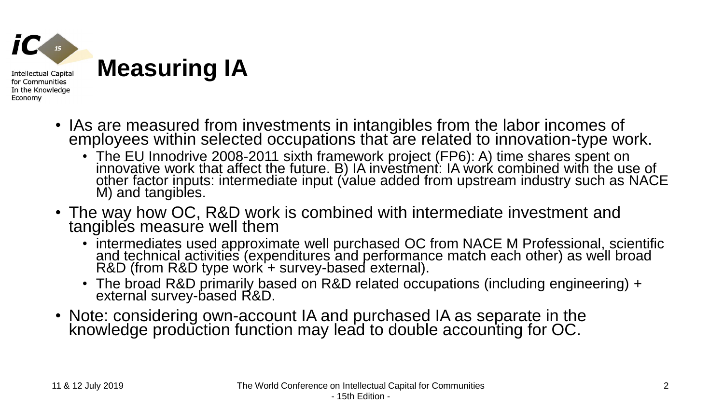

- In the Knowledge Economy
	- IAs are measured from investments in intangibles from the labor incomes of employees within selected occupations that are related to innovation-type work.
		- The EU Innodrive 2008-2011 sixth framework project (FP6): A) time shares spent on innovative work that affect the future. B) IA investment: IA work combined with the use of other factor inputs: intermediate input (value added from upstream industry such as NACE M) and tangibles.
	- The way how OC, R&D work is combined with intermediate investment and tangibles measure well them
		- intermediates used approximate well purchased OC from NACE M Professional, scientific and technical activities (expenditures and performance match each other) as well broad R&D (from R&D type wòrk'+ survey-based external).
		- The broad R&D primarily based on R&D related occupations (including engineering) + external survey-based R&D.
	- Note: considering own-account IA and purchased IA as separate in the knowledge production function may lead to double accounting for OC.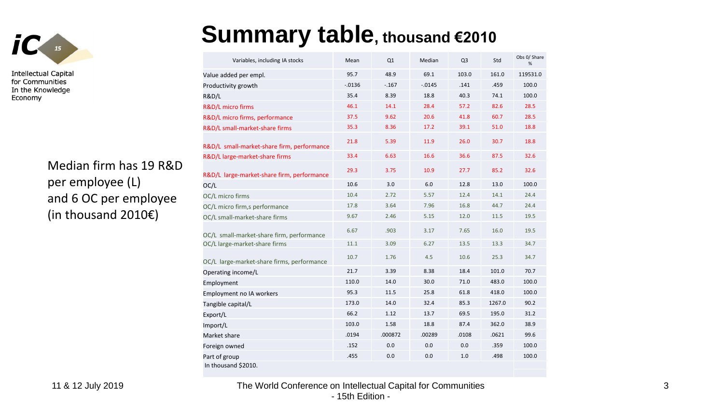

> Median firm has 19 R&D per employee (L) and 6 OC per employee (in thousand 2010€)

## **Summary table, thousand €2010**

| Variables, including IA stocks             | Mean      | Q1      | Median    | Q <sub>3</sub> | Std    | Obs 0/ Share<br>% |
|--------------------------------------------|-----------|---------|-----------|----------------|--------|-------------------|
| Value added per empl.                      | 95.7      | 48.9    | 69.1      | 103.0          | 161.0  | 119531.0          |
| Productivity growth                        | $-0.0136$ | $-.167$ | $-0.0145$ | .141           | .459   | 100.0             |
| R&D/L                                      | 35.4      | 8.39    | 18.8      | 40.3           | 74.1   | 100.0             |
| R&D/L micro firms                          | 46.1      | 14.1    | 28.4      | 57.2           | 82.6   | 28.5              |
| R&D/L micro firms, performance             | 37.5      | 9.62    | 20.6      | 41.8           | 60.7   | 28.5              |
| R&D/L small-market-share firms             | 35.3      | 8.36    | 17.2      | 39.1           | 51.0   | 18.8              |
| R&D/L small-market-share firm, performance | 21.8      | 5.39    | 11.9      | 26.0           | 30.7   | 18.8              |
| R&D/L large-market-share firms             | 33.4      | 6.63    | 16.6      | 36.6           | 87.5   | 32.6              |
| R&D/L large-market-share firm, performance | 29.3      | 3.75    | 10.9      | 27.7           | 85.2   | 32.6              |
| OC/L                                       | 10.6      | 3.0     | 6.0       | 12.8           | 13.0   | 100.0             |
| OC/L micro firms                           | 10.4      | 2.72    | 5.57      | 12.4           | 14.1   | 24.4              |
| OC/L micro firm, s performance             | 17.8      | 3.64    | 7.96      | 16.8           | 44.7   | 24.4              |
| OC/L small-market-share firms              | 9.67      | 2.46    | 5.15      | 12.0           | 11.5   | 19.5              |
| OC/L small-market-share firm, performance  | 6.67      | .903    | 3.17      | 7.65           | 16.0   | 19.5              |
| OC/L large-market-share firms              | 11.1      | 3.09    | 6.27      | 13.5           | 13.3   | 34.7              |
| OC/L large-market-share firms, performance | 10.7      | 1.76    | 4.5       | 10.6           | 25.3   | 34.7              |
| Operating income/L                         | 21.7      | 3.39    | 8.38      | 18.4           | 101.0  | 70.7              |
| Employment                                 | 110.0     | 14.0    | 30.0      | 71.0           | 483.0  | 100.0             |
| Employment no IA workers                   | 95.3      | 11.5    | 25.8      | 61.8           | 418.0  | 100.0             |
| Tangible capital/L                         | 173.0     | 14.0    | 32.4      | 85.3           | 1267.0 | 90.2              |
| Export/L                                   | 66.2      | 1.12    | 13.7      | 69.5           | 195.0  | 31.2              |
| Import/L                                   | 103.0     | 1.58    | 18.8      | 87.4           | 362.0  | 38.9              |
| Market share                               | .0194     | .000872 | .00289    | .0108          | .0621  | 99.6              |
| Foreign owned                              | .152      | 0.0     | 0.0       | 0.0            | .359   | 100.0             |
| Part of group                              | .455      | 0.0     | 0.0       | 1.0            | .498   | 100.0             |
| In thousand \$2010.                        |           |         |           |                |        |                   |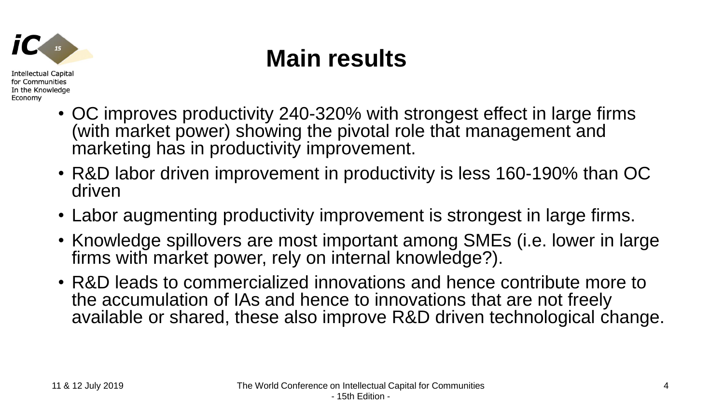

Economy

**Main results**

- OC improves productivity 240-320% with strongest effect in large firms (with market power) showing the pivotal role that management and marketing has in productivity improvement.
- R&D labor driven improvement in productivity is less 160-190% than OC driven
- Labor augmenting productivity improvement is strongest in large firms.
- Knowledge spillovers are most important among SMEs (i.e. lower in large firms with market power, rely on internal knowledge?).
- R&D leads to commercialized innovations and hence contribute more to the accumulation of IAs and hence to innovations that are not freely available or shared, these also improve R&D driven technological change.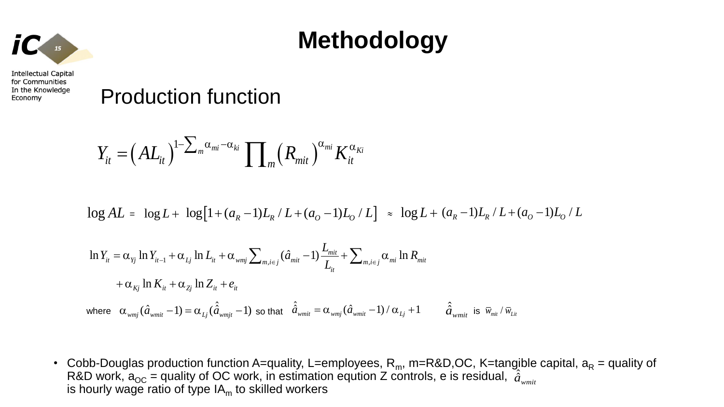

## **Methodology**

Production function

$$
Y_{it} = (AL_{it})^{1-\sum_{m} \alpha_{mi} - \alpha_{ki}} \prod_{m} (R_{mit})^{\alpha_{mi}} K_{it}^{\alpha_{Ki}}
$$

$$
\log AL = \log L + \log \left[ 1 + (a_R - 1)L_R / L + (a_o - 1)L_o / L \right] \approx \log L + (a_R - 1)L_R / L + (a_o - 1)L_o / L
$$

$$
\log AL = \log L + \log \left[ 1 + (a_R - 1)L_f / L + (a_O - 1)L_o / L \right] \approx \log L + (a_R - 1)L_f / L + (1 - \log L) = \log L + (a_R - 1)L_f / L + (1 - \log L) = \log L + (a_R - 1)L_f / L + (1 - \log L) = \log L + \frac{1}{\omega_{hi}} \log L + \frac{1}{\omega_{hi}} \log L + \frac{1}{\omega_{hi}} \log L + \frac{1}{\omega_{hi}} \log L + \frac{1}{\omega_{hi}} \log L + \frac{1}{\omega_{hi}} \log L + \frac{1}{\omega_{hi}} \log L + \frac{1}{\omega_{hi}} \log L + \frac{1}{\omega_{hi}} \log L + \frac{1}{\omega_{hi}} \log L + \frac{1}{\omega_{hi}} \log L + \frac{1}{\omega_{hi}} \log L + \frac{1}{\omega_{hi}} \log L + \frac{1}{\omega_{hi}} \log L + \frac{1}{\omega_{hi}} \log L + \frac{1}{\omega_{hi}} \log L + \frac{1}{\omega_{hi}} \log L + \frac{1}{\omega_{hi}} \log L + \frac{1}{\omega_{hi}} \log L + \frac{1}{\omega_{hi}} \log L + \frac{1}{\omega_{hi}} \log L + \frac{1}{\omega_{hi}} \log L + \frac{1}{\omega_{hi}} \log L + \frac{1}{\omega_{hi}} \log L + \frac{1}{\omega_{hi}} \log L + \frac{1}{\omega_{hi}} \log L + \frac{1}{\omega_{hi}} \log L + \frac{1}{\omega_{hi}} \log L + \frac{1}{\omega_{hi}} \log L + \frac{1}{\omega_{hi}} \log L + \frac{1}{\omega_{hi}} \log L + \frac{1}{\omega_{hi}} \log L + \frac{1}{\omega_{hi}} \log L + \frac{1}{\omega_{hi}} \log L + \frac{1}{\omega_{hi}} \log L + \frac{1}{\omega_{hi}} \log L + \frac{1}{\omega_{hi}} \log L + \frac{1}{\omega_{hi}} \log L + \frac{1}{\omega_{hi}} \log L + \frac{1}{\omega_{hi}} \log L + \frac{1}{\omega_{hi}} \log L + \frac{1}{\omega_{hi}} \log L + \frac{1}{\omega_{hi}} \log L + \frac{1}{\omega_{hi}} \log L + \frac{1}{\omega_{hi}} \log L + \frac{1}{\omega_{hi}} \log L + \
$$

is hourly wage ratio of type  $IA<sub>m</sub>$  to skilled workers • Cobb-Douglas production function A=quality, L=employees, R<sub>m</sub>, m=R&D,OC, K=tangible capital, a<sub>R</sub> = quality of R&D work,  $a_{OC}$  = quality of OC work, in estimation eqution Z controls, e is residual,  $\hat{a}_{wmit}$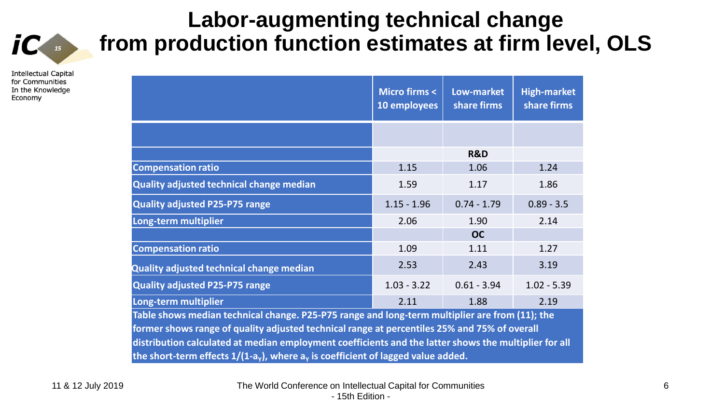# $IC_{15}$

**Intellectual Capital** for Communities In the Knowledge Economy

#### **Labor-augmenting technical change from production function estimates at firm level, OLS**

|                                                                                                       | <b>Micro firms &lt;</b><br>10 employees | Low-market<br>share firms | <b>High-market</b><br>share firms |
|-------------------------------------------------------------------------------------------------------|-----------------------------------------|---------------------------|-----------------------------------|
|                                                                                                       |                                         |                           |                                   |
|                                                                                                       |                                         | <b>R&amp;D</b>            |                                   |
| <b>Compensation ratio</b>                                                                             | 1.15                                    | 1.06                      | 1.24                              |
| Quality adjusted technical change median                                                              | 1.59                                    | 1.17                      | 1.86                              |
| <b>Quality adjusted P25-P75 range</b>                                                                 | $1.15 - 1.96$                           | $0.74 - 1.79$             | $0.89 - 3.5$                      |
| Long-term multiplier                                                                                  | 2.06                                    | 1.90                      | 2.14                              |
|                                                                                                       |                                         | <b>OC</b>                 |                                   |
| <b>Compensation ratio</b>                                                                             | 1.09                                    | 1.11                      | 1.27                              |
| Quality adjusted technical change median                                                              | 2.53                                    | 2.43                      | 3.19                              |
| <b>Quality adjusted P25-P75 range</b>                                                                 | $1.03 - 3.22$                           | $0.61 - 3.94$             | $1.02 - 5.39$                     |
| Long-term multiplier                                                                                  | 2.11                                    | 1.88                      | 2.19                              |
| Table shows median technical change. P25-P75 range and long-term multiplier are from (11); the        |                                         |                           |                                   |
| former shows range of quality adjusted technical range at percentiles 25% and 75% of overall          |                                         |                           |                                   |
| distribution calculated at median employment coefficients and the latter shows the multiplier for all |                                         |                           |                                   |
| the short-term effects $1/(1-a_v)$ , where $a_v$ is coefficient of lagged value added.                |                                         |                           |                                   |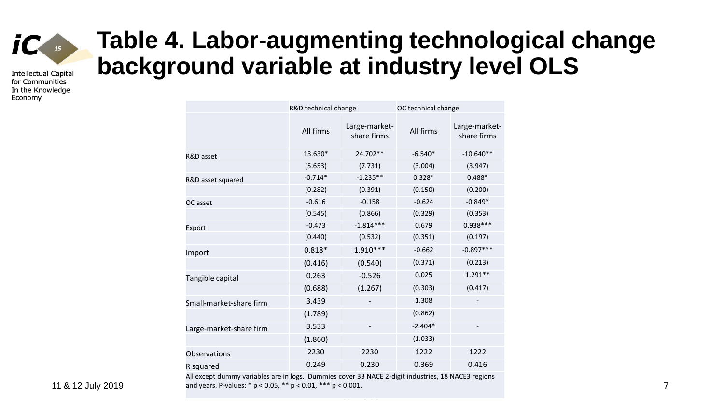

## **Table 4. Labor-augmenting technological change background variable at industry level OLS**

|                         | R&D technical change |                              | OC technical change |                              |  |  |
|-------------------------|----------------------|------------------------------|---------------------|------------------------------|--|--|
|                         | All firms            | Large-market-<br>share firms | All firms           | Large-market-<br>share firms |  |  |
| R&D asset               | 13.630*              | 24.702**                     | $-6.540*$           | $-10.640**$                  |  |  |
|                         | (5.653)              | (7.731)                      | (3.004)             | (3.947)                      |  |  |
| R&D asset squared       | $-0.714*$            | $-1.235**$                   | $0.328*$            | $0.488*$                     |  |  |
|                         | (0.282)              | (0.391)                      | (0.150)             | (0.200)                      |  |  |
| OC asset                | $-0.616$             | $-0.158$                     | $-0.624$            | $-0.849*$                    |  |  |
|                         | (0.545)              | (0.866)                      | (0.329)             | (0.353)                      |  |  |
| Export                  | $-0.473$             | $-1.814***$                  | 0.679               | $0.938***$                   |  |  |
|                         | (0.440)              | (0.532)                      | (0.351)             | (0.197)                      |  |  |
| Import                  | $0.818*$             | $1.910***$                   | $-0.662$            | $-0.897***$                  |  |  |
|                         | (0.416)              | (0.540)                      | (0.371)             | (0.213)                      |  |  |
| Tangible capital        | 0.263                | $-0.526$                     | 0.025               | $1.291**$                    |  |  |
|                         | (0.688)              | (1.267)                      | (0.303)             | (0.417)                      |  |  |
| Small-market-share firm | 3.439                |                              | 1.308               |                              |  |  |
|                         | (1.789)              |                              | (0.862)             |                              |  |  |
| Large-market-share firm | 3.533                |                              | $-2.404*$           | $\overline{\phantom{a}}$     |  |  |
|                         | (1.860)              |                              | (1.033)             |                              |  |  |
| Observations            | 2230                 | 2230                         | 1222                | 1222                         |  |  |
| R squared               | 0.249                | 0.230                        | 0.369               | 0.416                        |  |  |

**11 & 12 July 2019 The World Conference on Intellectual for Andrew State and years. P-values: \*** p < 0.05, \*\* p < 0.01, \*\*\* p < 0.001. All except dummy variables are in logs. Dummies cover 33 NACE 2-digit industries, 18 NACE3 regions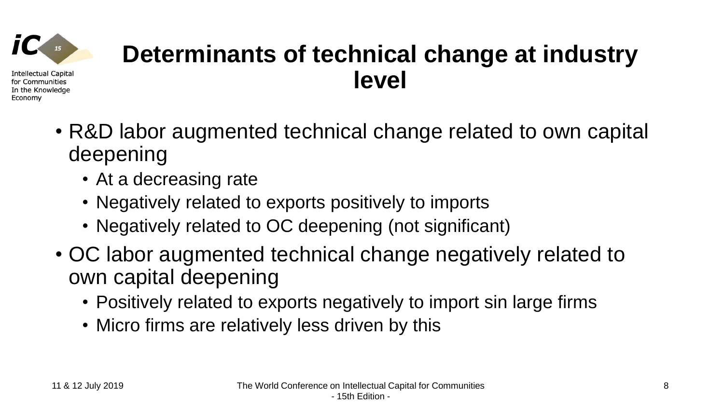

## **Determinants of technical change at industry level**

- R&D labor augmented technical change related to own capital deepening
	- At a decreasing rate
	- Negatively related to exports positively to imports
	- Negatively related to OC deepening (not significant)
- OC labor augmented technical change negatively related to own capital deepening
	- Positively related to exports negatively to import sin large firms
	- Micro firms are relatively less driven by this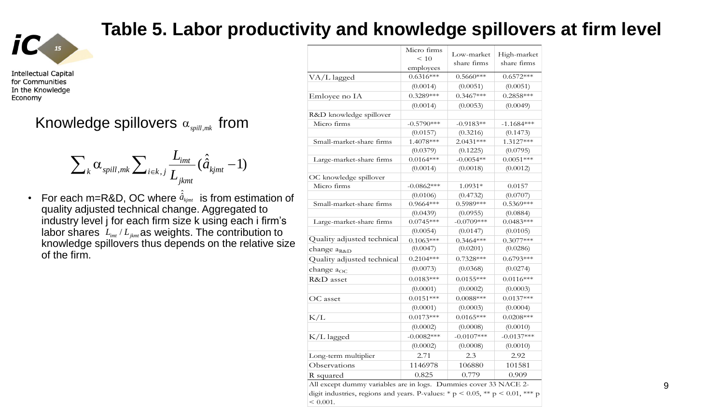

#### **Table 5. Labor productivity and knowledge spillovers at firm level**

 $< 0.001$ .

for Communities In the Knowledge Economy

#### Knowledge spillovers  $\alpha_{\textit{\tiny{spill,mk}}}$  from  $\alpha_{_{spill,mk}}$  fron

**Table 5. Labor prod**  
\nledge spillovers 
$$
\alpha_{split,mk}
$$
 from  
\n
$$
\sum_{k} \alpha_{split,mk} \sum_{i \in k,j} \frac{L_{imt}}{L_{jkmt}} (\hat{a}_{kjmt} - 1)
$$
\nch m=R&D, OC where  $\hat{a}_{kjmt}$  is from estimate  
\nadjusted technical change. Aggregated to  
\ny level j for each firm size k using each i fir

**OOF produce**<br>  $(\hat{a}_{k_{jmt}} - 1)$ <br>
is from estimation of<br>
Aggregated to<br>
susing each i firm's<br>
The contribution to<br>
Is on the relative siz • For each m=R&D, OC where  $\hat{a}_{\scriptscriptstyle{k}jm}$  is from estimation of quality adjusted technical change. Aggregated to industry level j for each firm size k using each i firm's labor shares  $L_{im}/L_{jkm}$  as weights. The contribution to knowledge spillovers thus depends on the relative size of the firm.  $p$ <sup>ill,mk</sup>  $\sum_{i \in k, j} \frac{m}{L_{jkmt}}$ <br>R&D, OC where  $\hat{a}_{k_{jmt}}$ <br>ad technical change.<br>j for each firm size k<br> $L_{im}/L_{jkmt}$  as weights. Tillovers thus depend

| Table 5. Labor productivity and knowledge spillovers at firm level                                                                                                                                                                                                 |                                                        |                          |                          |                         |
|--------------------------------------------------------------------------------------------------------------------------------------------------------------------------------------------------------------------------------------------------------------------|--------------------------------------------------------|--------------------------|--------------------------|-------------------------|
|                                                                                                                                                                                                                                                                    |                                                        |                          |                          |                         |
|                                                                                                                                                                                                                                                                    |                                                        |                          |                          |                         |
|                                                                                                                                                                                                                                                                    |                                                        | Micro firms<br>$\leq 10$ | Low-market               |                         |
|                                                                                                                                                                                                                                                                    |                                                        | employees                | share firms              | share firms             |
|                                                                                                                                                                                                                                                                    | VA/L lagged                                            | $0.6316***$<br>(0.0014)  | $0.5660***$<br>(0.0051)  | $0.6572***$<br>(0.0051) |
|                                                                                                                                                                                                                                                                    | Emloyee no IA                                          | $0.3289***$              | $0.3467***$              | $0.2858***$             |
|                                                                                                                                                                                                                                                                    |                                                        | (0.0014)                 | (0.0053)                 | (0.0049)                |
|                                                                                                                                                                                                                                                                    | R&D knowledge spillover<br>Micro firms                 | $-0.5790***$             | $-0.9183**$              | $-1.1684***$            |
|                                                                                                                                                                                                                                                                    |                                                        | (0.0157)                 | (0.3216)                 | (0.1473)                |
|                                                                                                                                                                                                                                                                    | Small-market-share firms                               | 1.4078***<br>(0.0379)    | $2.0431***$<br>(0.1225)  | $1.3127***$<br>(0.0795) |
|                                                                                                                                                                                                                                                                    | Large-market-share firms                               | $0.0164***$              | $-0.0054**$              | $0.0051***$             |
|                                                                                                                                                                                                                                                                    | OC knowledge spillover                                 | (0.0014)                 | (0.0018)                 | (0.0012)                |
|                                                                                                                                                                                                                                                                    | Micro firms                                            | $-0.0862***$             | 1.0931*                  | 0.0157                  |
| iowledge spillovers $\alpha_{\tiny{spill,mk}}$ from<br>$\sum\nolimits_k \alpha_{\textit{spill,mk}} \sum\nolimits_{i \in k, j} \frac{L_{i m t}}{L_{j k m t}}(\hat{\hat{a}}_{k j m t} - 1)$<br>or each m=R&D, OC where $\hat{a}_{\text{kjmt}}$ is from estimation of | Small-market-share firms                               | (0.0106)<br>$0.9664***$  | (0.4732)<br>$0.5989***$  | (0.0707)<br>$0.5369***$ |
| ality adjusted technical change. Aggregated to                                                                                                                                                                                                                     |                                                        | (0.0439)                 | (0.0955)                 | High-market<br>(0.0884) |
| dustry level j for each firm size k using each i firm's                                                                                                                                                                                                            | Large-market-share firms                               | $0.0745***$<br>(0.0054)  | $-0.0709***$<br>(0.0147) | $0.0483***$<br>(0.0105) |
| bor shares $ L_{int}/L_{jkm}$ as weights. The contribution to<br>owledge spillovers thus depends on the relative size                                                                                                                                              | Quality adjusted technical                             | $0.1063***$              | $0.3464***$              | $0.3077***$             |
|                                                                                                                                                                                                                                                                    | change $a_{\text{R\&D}}$<br>Quality adjusted technical | (0.0047)<br>$0.2104***$  | (0.0201)<br>$0.7328***$  | (0.0286)<br>$0.6793***$ |
| the firm.                                                                                                                                                                                                                                                          | change $a_{OC}$                                        | (0.0073)                 | (0.0368)                 | (0.0274)                |
|                                                                                                                                                                                                                                                                    | R&D asset                                              | $0.0183***$              | $0.0155***$              | $0.0116***$             |
|                                                                                                                                                                                                                                                                    | OC asset                                               | (0.0001)<br>$0.0151***$  | (0.0002)<br>$0.0088***$  | (0.0003)<br>$0.0137***$ |
|                                                                                                                                                                                                                                                                    |                                                        | (0.0001)                 | (0.0003)                 | (0.0004)                |
|                                                                                                                                                                                                                                                                    | K/L                                                    | $0.0173***$<br>(0.0002)  | $0.0165***$<br>(0.0008)  | $0.0208***$<br>(0.0010) |
|                                                                                                                                                                                                                                                                    | K/L lagged                                             | $-0.0082***$             | $-0.0107***$             | $-0.0137***$            |
|                                                                                                                                                                                                                                                                    |                                                        | (0.0002)                 | (0.0008)                 | (0.0010)                |
|                                                                                                                                                                                                                                                                    | Long-term multiplier<br>Observations                   | 2.71<br>1146978          | 2.3<br>106880            | 2.92<br>101581          |
|                                                                                                                                                                                                                                                                    | R squared                                              | 0.825                    | 0.779                    | 0.909                   |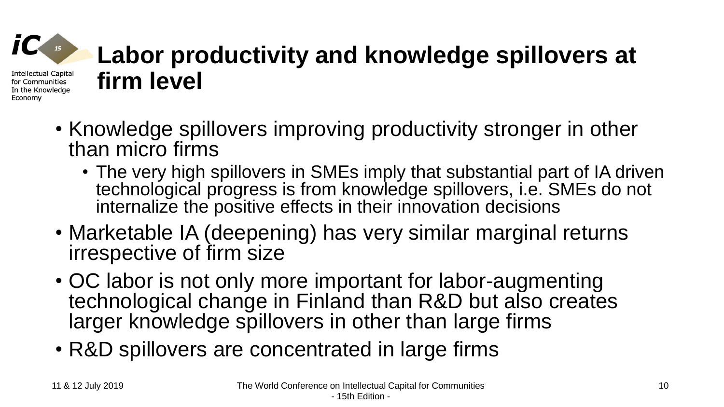# **Labor productivity and knowledge spillovers at firm level**

- Knowledge spillovers improving productivity stronger in other than micro firms
	- The very high spillovers in SMEs imply that substantial part of IA driven technological progress is from knowledge spillovers, i.e. SMEs do not internalize the positive effects in their innovation decisions
- Marketable IA (deepening) has very similar marginal returns irrespective of firm size
- OC labor is not only more important for labor-augmenting technological change in Finland than R&D but also creates larger knowledge spillovers in other than large firms
- R&D spillovers are concentrated in large firms

Intellectual Capital for Communities In the Knowledge

Economy